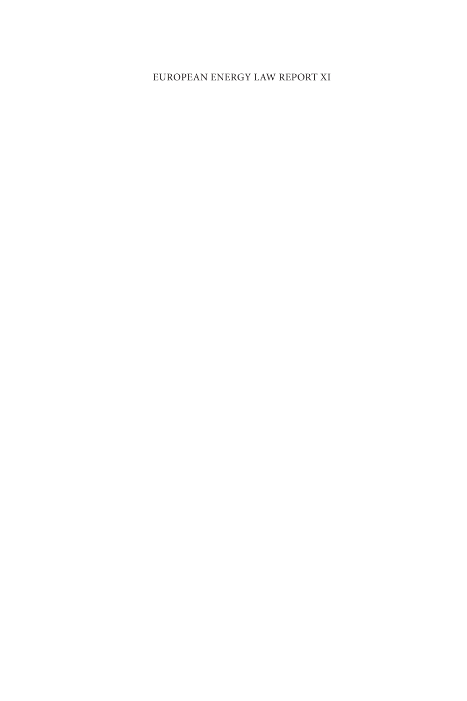## EUROPEAN ENERGY LAW REPORT XI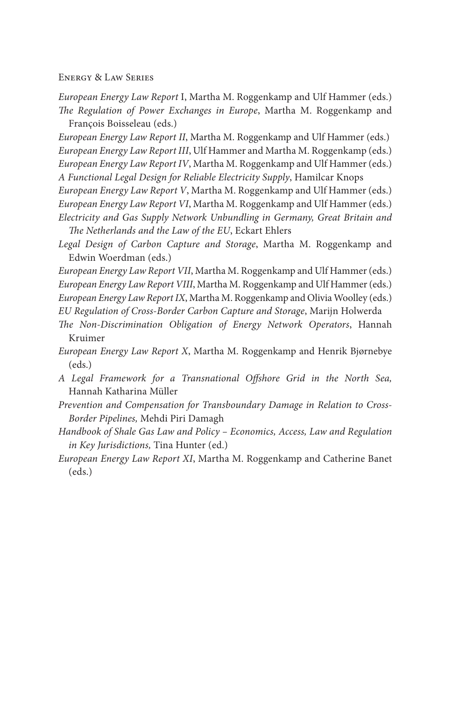ENERGY & LAW SERIES

*European Energy Law Report* I, Martha M. Roggenkamp and Ulf Hammer (eds.) The Regulation of Power Exchanges in Europe, Martha M. Roggenkamp and Francois Boisseleau (eds.)

*European Energy Law Report II* , Martha M. Roggenkamp and Ulf Hammer (eds.) *European Energy Law Report III* , Ulf Hammer and Martha M. Roggenkamp (eds.) *European Energy Law Report IV* , Martha M. Roggenkamp and Ulf Hammer (eds.) *A Functional Legal Design for Reliable Electricity Supply* , Hamilcar Knops

*European Energy Law Report V* , Martha M. Roggenkamp and Ulf Hammer (eds.) *European Energy Law Report VI* , Martha M. Roggenkamp and Ulf Hammer (eds.) *Electricity and Gas Supply Network Unbundling in Germany, Great Britain and*  The Netherlands and the Law of the EU, Eckart Ehlers

*Legal Design of Carbon Capture and Storage* , Martha M. Roggenkamp and Edwin Woerdman (eds.)

*European Energy Law Report VII* , Martha M. Roggenkamp and Ulf Hammer (eds.) *European Energy Law Report VIII* , Martha M. Roggenkamp and Ulf Hammer (eds.)

*European Energy Law Report IX* , Martha M. Roggenkamp and Olivia Woolley (eds.)

*EU Regulation of Cross-Border Carbon Capture and Storage* , Marijn Holwerda

- The Non-Discrimination Obligation of Energy Network Operators, Hannah Kruimer
- *European Energy Law Report X*, Martha M. Roggenkamp and Henrik Bjørnebye (eds.)
- *A Legal Framework for a Transnational Off shore Grid in the North Sea,* Hannah Katharina Müller
- *Prevention and Compensation for Transboundary Damage in Relation to Cross-Border Pipelines,* Mehdi Piri Damagh
- *Handbook of Shale Gas Law and Policy Economics, Access, Law and Regulation in Key Jurisdictions,* Tina Hunter (ed.)
- *European Energy Law Report XI* , Martha M. Roggenkamp and Catherine Banet (eds.)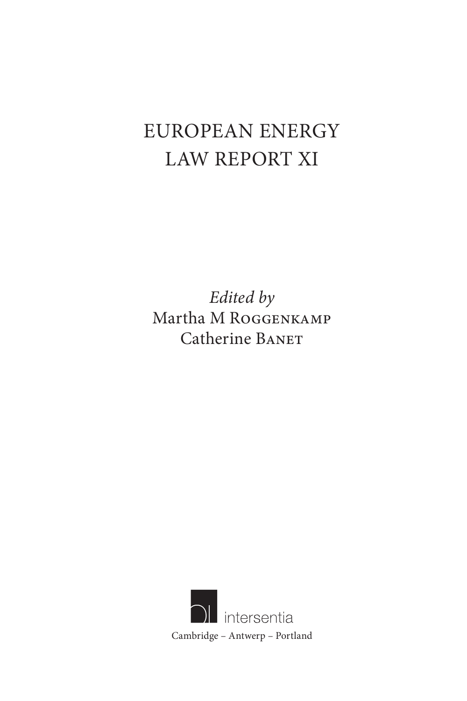# EUROPEAN ENERGY LAW REPORT XI

*Edited by*  Martha M ROGGENKAMP Catherine BANET

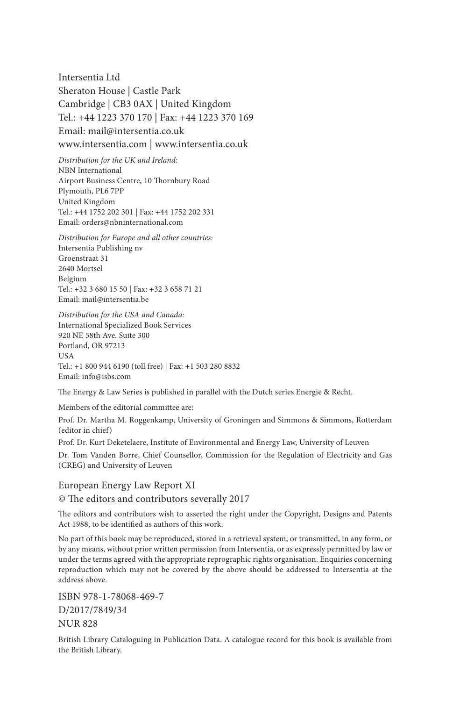Intersentia Ltd Sheraton House | Castle Park Cambridge | CB3 0AX | United Kingdom Tel.: +44 1223 370 170 | Fax: +44 1223 370 169

Email: mail@intersentia.co.uk www.intersentia.com | www.intersentia.co.uk

*Distribution for the UK and Ireland:* NBN International Airport Business Centre, 10 Thornbury Road Plymouth, PL6 7PP United Kingdom Tel.: +44 1752 202 301 | Fax: +44 1752 202 331 Email: orders@nbninternational.com

*Distribution for Europe and all other countries:* Intersentia Publishing nv Groenstraat 31 2640 Mortsel Belgium Tel.: +32 3 680 15 50 | Fax: +32 3 658 71 21 Email: mail@intersentia.be

*Distribution for the USA and Canada:* International Specialized Book Services 920 NE 58th Ave. Suite 300 Portland, OR 97213 **IISA** Tel.: +1 800 944 6190 (toll free) | Fax: +1 503 280 8832 Email: info@isbs.com

The Energy & Law Series is published in parallel with the Dutch series Energie & Recht.

Members of the editorial committee are:

Prof. Dr. Martha M. Roggenkamp, University of Groningen and Simmons & Simmons, Rotterdam (editor in chief)

Prof. Dr. Kurt Deketelaere, Institute of Environmental and Energy Law, University of Leuven

Dr. Tom Vanden Borre, Chief Counsellor, Commission for the Regulation of Electricity and Gas (CREG) and University of Leuven

 European Energy Law Report XI © The editors and contributors severally 2017

The editors and contributors wish to asserted the right under the Copyright, Designs and Patents Act 1988, to be identified as authors of this work.

 No part of this book may be reproduced, stored in a retrieval system, or transmitted, in any form, or by any means, without prior written permission from Intersentia, or as expressly permitted by law or under the terms agreed with the appropriate reprographic rights organisation. Enquiries concerning reproduction which may not be covered by the above should be addressed to Intersentia at the address above.

 ISBN 978-1-78068-469-7 D/2017/7849/34 NUR 828

 British Library Cataloguing in Publication Data. A catalogue record for this book is available from the British Library.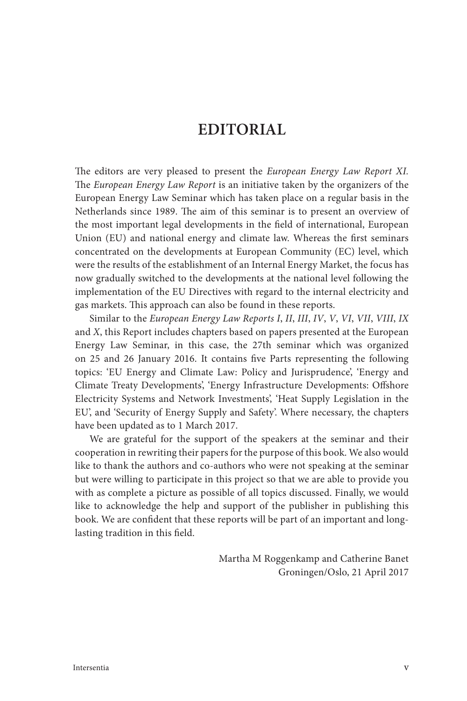## **EDITORIAL**

The editors are very pleased to present the *European Energy Law Report XI*. The *European Energy Law Report* is an initiative taken by the organizers of the European Energy Law Seminar which has taken place on a regular basis in the Netherlands since 1989. The aim of this seminar is to present an overview of the most important legal developments in the field of international, European Union (EU) and national energy and climate law. Whereas the first seminars concentrated on the developments at European Community (EC) level, which were the results of the establishment of an Internal Energy Market, the focus has now gradually switched to the developments at the national level following the implementation of the EU Directives with regard to the internal electricity and gas markets. This approach can also be found in these reports.

 Similar to the *European Energy Law Reports I* , *II* , *III* , *IV* , *V* , *VI* , *VII* , *VIII* , *IX* and *X* , this Report includes chapters based on papers presented at the European Energy Law Seminar, in this case, the 27th seminar which was organized on 25 and 26 January 2016. It contains five Parts representing the following topics: 'EU Energy and Climate Law: Policy and Jurisprudence', 'Energy and Climate Treaty Developments', 'Energy Infrastructure Developments: Offshore Electricity Systems and Network Investments', 'Heat Supply Legislation in the EU', and 'Security of Energy Supply and Safety'. Where necessary, the chapters have been updated as to 1 March 2017.

 We are grateful for the support of the speakers at the seminar and their cooperation in rewriting their papers for the purpose of this book. We also would like to thank the authors and co-authors who were not speaking at the seminar but were willing to participate in this project so that we are able to provide you with as complete a picture as possible of all topics discussed. Finally, we would like to acknowledge the help and support of the publisher in publishing this book. We are confident that these reports will be part of an important and longlasting tradition in this field.

> Martha M Roggenkamp and Catherine Banet Groningen/Oslo, 21 April 2017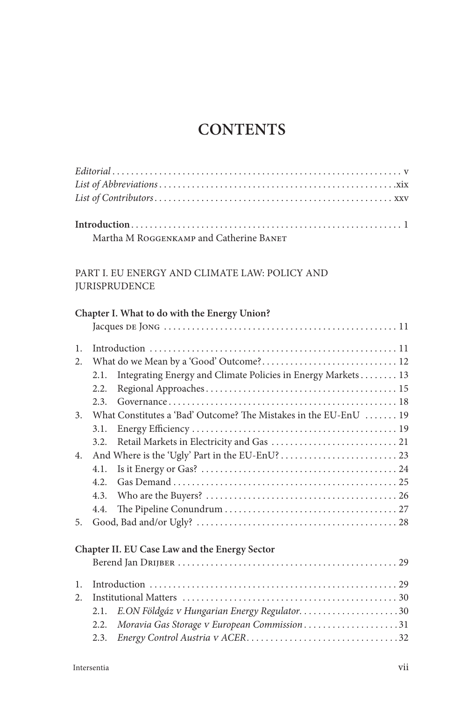## **CONTENTS**

| Martha M ROGGENKAMP and Catherine BANET |  |
|-----------------------------------------|--|

## PART I. EU ENERGY AND CLIMATE LAW: POLICY AND JURISPRUDENCE

|                | Chapter I. What to do with the Energy Union?                         |
|----------------|----------------------------------------------------------------------|
|                |                                                                      |
| $\mathbf{1}$ . |                                                                      |
| 2.             |                                                                      |
|                | Integrating Energy and Climate Policies in Energy Markets 13<br>2.1. |
|                | 2.2.                                                                 |
|                | 2.3.                                                                 |
| 3 <sub>1</sub> | What Constitutes a 'Bad' Outcome? The Mistakes in the EU-EnU  19     |
|                | 3.1.                                                                 |
|                | 3.2.                                                                 |
| 4.             |                                                                      |
|                | 4.1.                                                                 |
|                | 4.2.                                                                 |
|                | 4.3.                                                                 |
|                | 4.4.                                                                 |
| 5.             |                                                                      |
|                | Chapter II. EU Case Law and the Energy Sector                        |
|                |                                                                      |
| 1.             |                                                                      |
| 2.             |                                                                      |
|                | E.ON Földgáz v Hungarian Energy Regulator30<br>2.1.                  |
|                | Moravia Gas Storage v European Commission31<br>2.2.                  |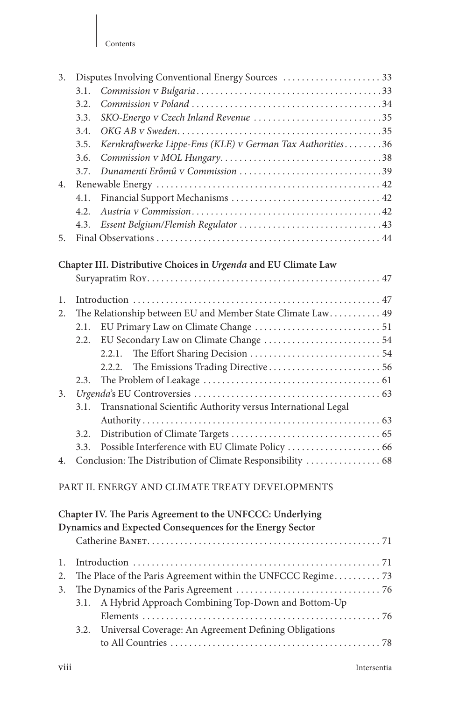| 3. |      | Disputes Involving Conventional Energy Sources  33              |  |
|----|------|-----------------------------------------------------------------|--|
|    | 3.1. |                                                                 |  |
|    | 3.2. |                                                                 |  |
|    | 3.3. | SKO-Energo v Czech Inland Revenue 35                            |  |
|    | 3.4. |                                                                 |  |
|    | 3.5. | Kernkraftwerke Lippe-Ems (KLE) v German Tax Authorities36       |  |
|    | 3.6. |                                                                 |  |
|    | 3.7. | Dunamenti Erőmű v Commission 39                                 |  |
| 4. |      |                                                                 |  |
|    | 4.1. |                                                                 |  |
|    | 4.2. |                                                                 |  |
|    | 4.3. |                                                                 |  |
| 5. |      |                                                                 |  |
|    |      | Chapter III. Distributive Choices in Urgenda and EU Climate Law |  |
|    |      |                                                                 |  |
|    |      |                                                                 |  |
| 1. |      |                                                                 |  |
| 2. |      | The Relationship between EU and Member State Climate Law 49     |  |
|    | 2.1. |                                                                 |  |
|    | 2.2. |                                                                 |  |
|    |      | 2.2.1.                                                          |  |
|    |      | 2.2.2.                                                          |  |
|    | 2.3. |                                                                 |  |
| 3. |      |                                                                 |  |
|    | 3.1. | Transnational Scientific Authority versus International Legal   |  |
|    |      |                                                                 |  |
|    | 3.2. |                                                                 |  |
|    | 3.3. |                                                                 |  |
| 4. |      | Conclusion: The Distribution of Climate Responsibility  68      |  |
|    |      | PART II. ENERGY AND CLIMATE TREATY DEVELOPMENTS                 |  |
|    |      | Chapter IV. The Paris Agreement to the UNFCCC: Underlying       |  |
|    |      | Dynamics and Expected Consequences for the Energy Sector        |  |
|    |      |                                                                 |  |
| 1. |      |                                                                 |  |
| 2. |      | The Place of the Paris Agreement within the UNFCCC Regime 73    |  |
| 3. |      |                                                                 |  |
|    | 3.1. | A Hybrid Approach Combining Top-Down and Bottom-Up              |  |
|    |      |                                                                 |  |
|    | 3.2. | Universal Coverage: An Agreement Defining Obligations           |  |
|    |      |                                                                 |  |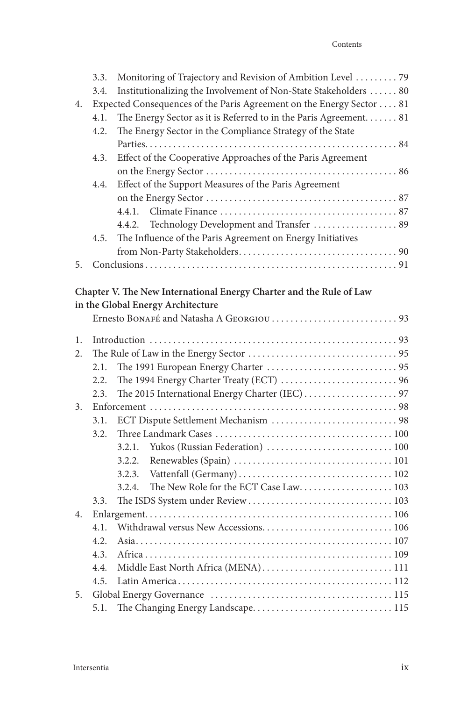|    |      | 3.3. Monitoring of Trajectory and Revision of Ambition Level 79      |  |
|----|------|----------------------------------------------------------------------|--|
|    | 3.4. | Institutionalizing the Involvement of Non-State Stakeholders  80     |  |
| 4. |      | Expected Consequences of the Paris Agreement on the Energy Sector 81 |  |
|    | 4.1. | The Energy Sector as it is Referred to in the Paris Agreement 81     |  |
|    |      | 4.2. The Energy Sector in the Compliance Strategy of the State       |  |
|    |      |                                                                      |  |
|    | 4.3. | Effect of the Cooperative Approaches of the Paris Agreement          |  |
|    |      |                                                                      |  |
|    |      | 4.4. Effect of the Support Measures of the Paris Agreement           |  |
|    |      |                                                                      |  |
|    |      |                                                                      |  |
|    |      | 4.4.2. Technology Development and Transfer  89                       |  |
|    |      | 4.5. The Influence of the Paris Agreement on Energy Initiatives      |  |
|    |      |                                                                      |  |
|    |      |                                                                      |  |
|    |      |                                                                      |  |

## **Chapter V. The New International Energy Charter and the Rule of Law in the Global Energy Architecture**

| 1.             |      |                                      |  |  |
|----------------|------|--------------------------------------|--|--|
| 2.             |      |                                      |  |  |
|                | 2.1. |                                      |  |  |
|                | 2.2. |                                      |  |  |
|                | 2.3. |                                      |  |  |
| 3 <sub>1</sub> |      |                                      |  |  |
|                | 3.1. | ECT Dispute Settlement Mechanism  98 |  |  |
|                | 3.2. |                                      |  |  |
|                |      | 3.2.1.                               |  |  |
|                |      | 3.2.2.                               |  |  |
|                |      | 3.2.3.                               |  |  |
|                |      | 3.2.4.                               |  |  |
|                | 3.3. |                                      |  |  |
| 4.             |      |                                      |  |  |
|                | 41   |                                      |  |  |
|                | 4.2. |                                      |  |  |
|                | 4.3. |                                      |  |  |
|                | 4.4. | Middle East North Africa (MENA) 111  |  |  |
|                | 4.5. |                                      |  |  |
| 5 <sub>1</sub> |      |                                      |  |  |
|                | 5.1. |                                      |  |  |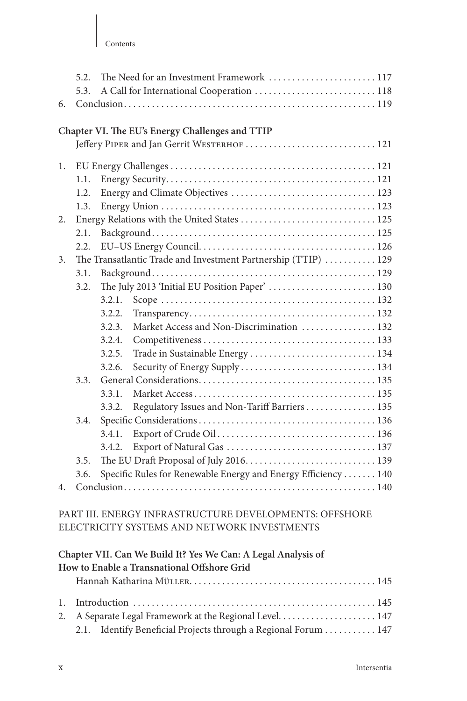| 6. | 5.2.<br>5.3.                                |        | The Need for an Investment Framework  117<br>A Call for International Cooperation  118 |  |  |  |
|----|---------------------------------------------|--------|----------------------------------------------------------------------------------------|--|--|--|
|    |                                             |        |                                                                                        |  |  |  |
|    |                                             |        | Chapter VI. The EU's Energy Challenges and TTIP                                        |  |  |  |
|    | Jeffery PIPER and Jan Gerrit WESTERHOF  121 |        |                                                                                        |  |  |  |
| 1. |                                             |        |                                                                                        |  |  |  |
|    | 1.1.                                        |        |                                                                                        |  |  |  |
|    | 1.2.                                        |        |                                                                                        |  |  |  |
|    | 1.3.                                        |        |                                                                                        |  |  |  |
| 2. |                                             |        | Energy Relations with the United States  125                                           |  |  |  |
|    | 2.1.                                        |        |                                                                                        |  |  |  |
|    | 2.2.                                        |        |                                                                                        |  |  |  |
| 3. |                                             |        | The Transatlantic Trade and Investment Partnership (TTIP)  129                         |  |  |  |
|    | 3.1.                                        |        |                                                                                        |  |  |  |
|    | 3.2.                                        |        | The July 2013 'Initial EU Position Paper'  130                                         |  |  |  |
|    |                                             | 3.2.1. |                                                                                        |  |  |  |
|    |                                             | 3.2.2. |                                                                                        |  |  |  |
|    |                                             | 3.2.3. | Market Access and Non-Discrimination  132                                              |  |  |  |
|    |                                             | 3.2.4. |                                                                                        |  |  |  |
|    |                                             | 3.2.5. | Trade in Sustainable Energy  134                                                       |  |  |  |
|    |                                             | 3.2.6. |                                                                                        |  |  |  |
|    | 3.3.                                        |        |                                                                                        |  |  |  |
|    |                                             | 3.3.1. |                                                                                        |  |  |  |
|    |                                             | 3.3.2. | Regulatory Issues and Non-Tariff Barriers  135                                         |  |  |  |
|    | 3.4.                                        |        |                                                                                        |  |  |  |
|    |                                             | 3.4.1. |                                                                                        |  |  |  |
|    |                                             | 3.4.2. |                                                                                        |  |  |  |
|    | 3.5.                                        |        |                                                                                        |  |  |  |
|    | 3.6.                                        |        | Specific Rules for Renewable Energy and Energy Efficiency  140                         |  |  |  |
| 4. |                                             |        |                                                                                        |  |  |  |
|    |                                             |        |                                                                                        |  |  |  |
|    |                                             |        | PART III. ENERGY INFRASTRUCTURE DEVELOPMENTS: OFFSHORE                                 |  |  |  |
|    |                                             |        | ELECTRICITY SYSTEMS AND NETWORK INVESTMENTS                                            |  |  |  |
|    |                                             |        |                                                                                        |  |  |  |
|    |                                             |        | Chapter VII, Can We Build It? Yes We Can: A Legal Analysis of                          |  |  |  |

| Chapter This Can The Daniel Its 200 The Cantrix Degal Innaryold of |  |
|--------------------------------------------------------------------|--|
| How to Enable a Transnational Offshore Grid                        |  |
|                                                                    |  |
|                                                                    |  |
|                                                                    |  |
| 2.1. Identify Beneficial Projects through a Regional Forum 147     |  |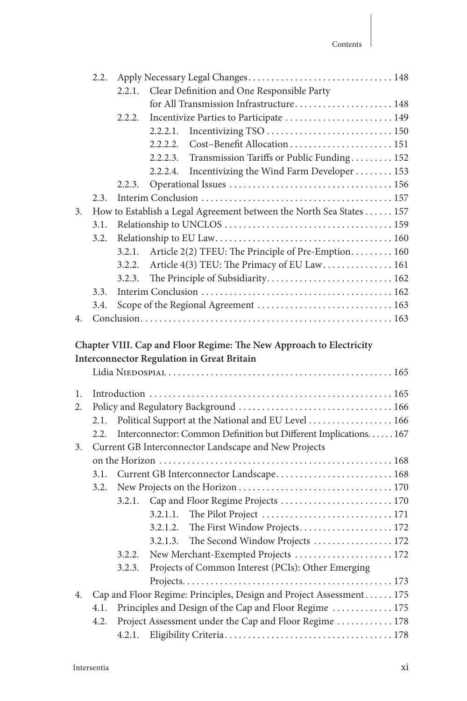|    | 2.2. |        | Apply Necessary Legal Changes 148                                   |  |
|----|------|--------|---------------------------------------------------------------------|--|
|    |      | 2.2.1. | Clear Definition and One Responsible Party                          |  |
|    |      |        | for All Transmission Infrastructure 148                             |  |
|    |      | 2.2.2. | Incentivize Parties to Participate  149                             |  |
|    |      |        | 2.2.2.1.                                                            |  |
|    |      |        | Cost-Benefit Allocation  151<br>2.2.2.2.                            |  |
|    |      |        | Transmission Tariffs or Public Funding 152<br>2.2.2.3.              |  |
|    |      |        | Incentivizing the Wind Farm Developer  153<br>2.2.2.4.              |  |
|    |      | 2.2.3. |                                                                     |  |
|    | 2.3. |        |                                                                     |  |
| 3. |      |        | How to Establish a Legal Agreement between the North Sea States 157 |  |
|    | 3.1. |        |                                                                     |  |
|    | 3.2. |        |                                                                     |  |
|    |      | 3.2.1. | Article 2(2) TFEU: The Principle of Pre-Emption 160                 |  |
|    |      | 3.2.2. | Article 4(3) TEU: The Primacy of EU Law 161                         |  |
|    |      | 3.2.3. | The Principle of Subsidiarity 162                                   |  |
|    | 3.3. |        |                                                                     |  |
|    | 3.4. |        | Scope of the Regional Agreement  163                                |  |
| 4. |      |        |                                                                     |  |
|    |      |        |                                                                     |  |
|    |      |        | Chapter VIII. Cap and Floor Regime: The New Approach to Electricity |  |
|    |      |        | <b>Interconnector Regulation in Great Britain</b>                   |  |
|    |      |        |                                                                     |  |
| 1. |      |        |                                                                     |  |
| 2. |      |        |                                                                     |  |
|    | 2.1. |        |                                                                     |  |
|    |      |        |                                                                     |  |
| 3. | 2.2. |        | Political Support at the National and EU Level 166                  |  |
|    |      |        | Interconnector: Common Definition but Different Implications. 167   |  |
|    |      |        | Current GB Interconnector Landscape and New Projects                |  |
|    | 3.1. |        |                                                                     |  |
|    | 3.2. |        | Current GB Interconnector Landscape 168                             |  |
|    |      | 3.2.1. |                                                                     |  |
|    |      |        | Cap and Floor Regime Projects  170<br>3.2.1.1.                      |  |
|    |      |        | 3.2.1.2.                                                            |  |
|    |      |        | The First Window Projects 172<br>3.2.1.3.                           |  |
|    |      | 3.2.2. | The Second Window Projects  172                                     |  |
|    |      |        | New Merchant-Exempted Projects  172                                 |  |
|    |      | 3.2.3. | Projects of Common Interest (PCIs): Other Emerging                  |  |
| 4. |      |        | Cap and Floor Regime: Principles, Design and Project Assessment 175 |  |
|    | 4.1. |        |                                                                     |  |
|    |      |        | Principles and Design of the Cap and Floor Regime  175              |  |
|    | 4.2. | 4.2.1. | Project Assessment under the Cap and Floor Regime  178              |  |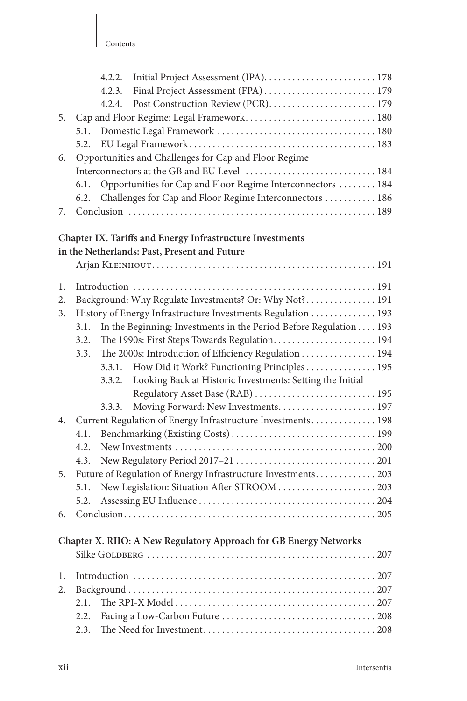|    |      | 4.2.2.<br>4.2.3. |                                                                   |
|----|------|------------------|-------------------------------------------------------------------|
|    |      | 4.2.4.           |                                                                   |
| 5. |      |                  | Cap and Floor Regime: Legal Framework 180                         |
|    | 5.1. |                  |                                                                   |
|    | 5.2. |                  |                                                                   |
| 6. |      |                  | Opportunities and Challenges for Cap and Floor Regime             |
|    |      |                  |                                                                   |
|    | 6.1. |                  | Opportunities for Cap and Floor Regime Interconnectors  184       |
|    | 6.2. |                  | Challenges for Cap and Floor Regime Interconnectors  186          |
| 7. |      |                  |                                                                   |
|    |      |                  |                                                                   |
|    |      |                  | Chapter IX. Tariffs and Energy Infrastructure Investments         |
|    |      |                  | in the Netherlands: Past, Present and Future                      |
|    |      |                  |                                                                   |
| 1. |      |                  |                                                                   |
| 2. |      |                  | Background: Why Regulate Investments? Or: Why Not? 191            |
| 3. |      |                  | History of Energy Infrastructure Investments Regulation  193      |
|    | 3.1. |                  | In the Beginning: Investments in the Period Before Regulation 193 |
|    | 3.2. |                  | The 1990s: First Steps Towards Regulation 194                     |
|    | 3.3. |                  | The 2000s: Introduction of Efficiency Regulation 194              |
|    |      | 3.3.1.           | How Did it Work? Functioning Principles 195                       |
|    |      | 3.3.2.           | Looking Back at Historic Investments: Setting the Initial         |
|    |      |                  | Regulatory Asset Base (RAB)  195                                  |
|    |      | 3.3.3.           | Moving Forward: New Investments 197                               |
| 4. |      |                  | Current Regulation of Energy Infrastructure Investments 198       |
|    | 4.1. |                  |                                                                   |
|    | 4.2. |                  |                                                                   |
|    | 4.3. |                  |                                                                   |
| 5. |      |                  | Future of Regulation of Energy Infrastructure Investments 203     |
|    | 5.1. |                  | New Legislation: Situation After STROOM  203                      |
|    | 5.2. |                  |                                                                   |
| 6. |      |                  |                                                                   |
|    |      |                  |                                                                   |
|    |      |                  | Chapter X. RIIO: A New Regulatory Approach for GB Energy Networks |
|    |      |                  |                                                                   |
| 1. |      |                  |                                                                   |
| 2. |      |                  |                                                                   |
|    | 2.1. |                  |                                                                   |
|    | 2.2. |                  |                                                                   |
|    | 2.3. |                  |                                                                   |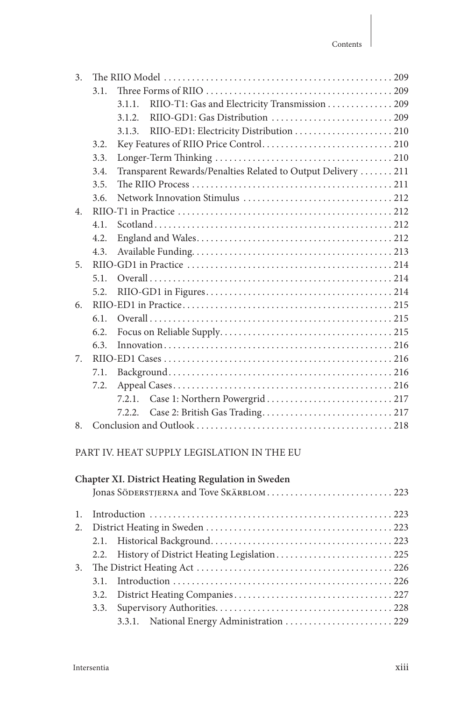| $\overline{3}$ . |      |                                                               |  |
|------------------|------|---------------------------------------------------------------|--|
|                  | 3.1. |                                                               |  |
|                  |      | RIIO-T1: Gas and Electricity Transmission 209<br>3.1.1.       |  |
|                  |      | 3.1.2.                                                        |  |
|                  |      | 3.1.3.                                                        |  |
|                  | 3.2. |                                                               |  |
|                  | 3.3. |                                                               |  |
|                  | 3.4. | Transparent Rewards/Penalties Related to Output Delivery  211 |  |
|                  | 3.5. |                                                               |  |
|                  | 3.6. |                                                               |  |
| $\overline{4}$ . |      |                                                               |  |
|                  | 4.1. |                                                               |  |
|                  | 4.2. |                                                               |  |
|                  | 4.3. |                                                               |  |
| 5.               |      |                                                               |  |
|                  | 5.1. |                                                               |  |
|                  | 5.2. |                                                               |  |
| 6.               |      |                                                               |  |
|                  | 6.1. |                                                               |  |
|                  | 6.2. |                                                               |  |
|                  | 6.3. |                                                               |  |
| 7.               |      |                                                               |  |
|                  | 7.1. |                                                               |  |
|                  | 7.2. |                                                               |  |
|                  |      | 7.2.1.                                                        |  |
|                  |      | 7.2.2.                                                        |  |
| 8.               |      |                                                               |  |

## PART IV. HEAT SUPPLY LEGISLATION IN THE EU

### **Chapter XI. District Heating Regulation in Sweden**

|    | 2.2. History of District Heating Legislation 225 |  |
|----|--------------------------------------------------|--|
| 3. |                                                  |  |
|    |                                                  |  |
|    |                                                  |  |
|    |                                                  |  |
|    | 3.3.1. National Energy Administration  229       |  |
|    |                                                  |  |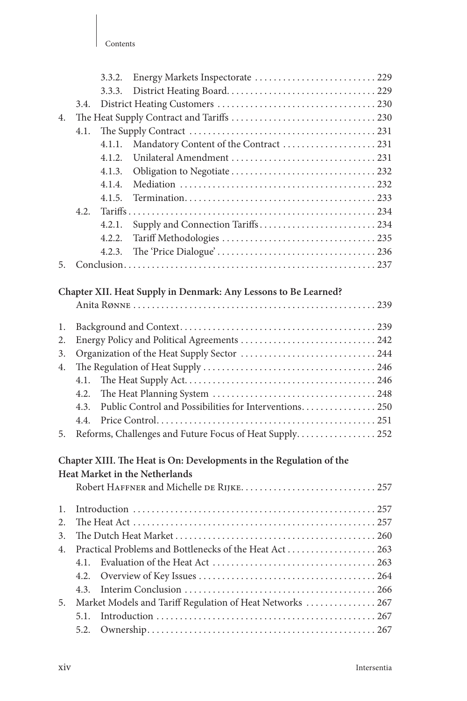|    |      | 3.3.2. | Energy Markets Inspectorate  229                                    |  |
|----|------|--------|---------------------------------------------------------------------|--|
|    |      | 3.3.3. |                                                                     |  |
|    | 3.4. |        |                                                                     |  |
| 4. |      |        |                                                                     |  |
|    | 4.1. |        |                                                                     |  |
|    |      | 4.1.1. | Mandatory Content of the Contract 231                               |  |
|    |      | 4.1.2. |                                                                     |  |
|    |      | 4.1.3. |                                                                     |  |
|    |      | 4.1.4. |                                                                     |  |
|    |      | 4.1.5. |                                                                     |  |
|    | 4.2. |        |                                                                     |  |
|    |      | 4.2.1. |                                                                     |  |
|    |      | 4.2.2. |                                                                     |  |
|    |      | 4.2.3. |                                                                     |  |
| 5. |      |        |                                                                     |  |
|    |      |        |                                                                     |  |
|    |      |        | Chapter XII. Heat Supply in Denmark: Any Lessons to Be Learned?     |  |
|    |      |        |                                                                     |  |
| 1. |      |        |                                                                     |  |
| 2. |      |        |                                                                     |  |
| 3. |      |        |                                                                     |  |
| 4. |      |        |                                                                     |  |
|    | 4.1. |        |                                                                     |  |
|    | 4.2. |        |                                                                     |  |
|    | 4.3. |        | Public Control and Possibilities for Interventions 250              |  |
|    | 4.4. |        |                                                                     |  |
| 5. |      |        | Reforms, Challenges and Future Focus of Heat Supply 252             |  |
|    |      |        |                                                                     |  |
|    |      |        | Chapter XIII. The Heat is On: Developments in the Regulation of the |  |
|    |      |        | Heat Market in the Netherlands                                      |  |
|    |      |        | Robert HAFFNER and Michelle DE RIJKE.  257                          |  |
|    |      |        |                                                                     |  |
| 1. |      |        |                                                                     |  |
| 2. |      |        |                                                                     |  |
| 3. |      |        |                                                                     |  |
| 4. |      |        |                                                                     |  |
|    | 4.1. |        |                                                                     |  |
|    | 4.2. |        |                                                                     |  |
|    | 4.3. |        |                                                                     |  |
| 5. |      |        | Market Models and Tariff Regulation of Heat Networks  267           |  |
|    | 5.1. |        |                                                                     |  |
|    | 5.2. |        |                                                                     |  |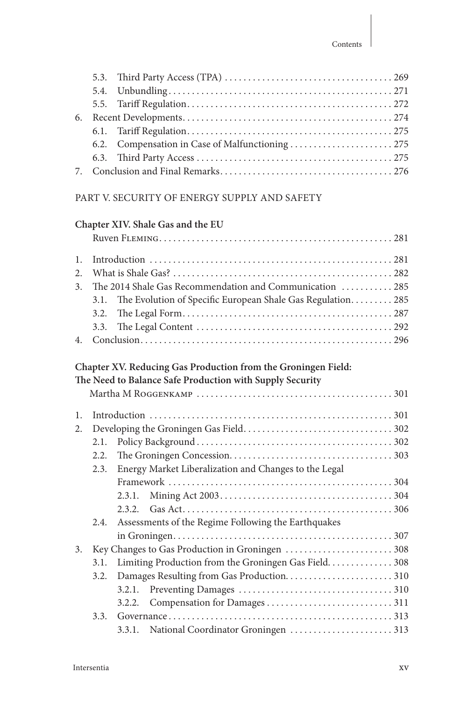## PART V. SECURITY OF ENERGY SUPPLY AND SAFETY

|                                        |                      | Chapter XIV. Shale Gas and the EU                                                                                         |                                                                                                                         |
|----------------------------------------|----------------------|---------------------------------------------------------------------------------------------------------------------------|-------------------------------------------------------------------------------------------------------------------------|
|                                        |                      |                                                                                                                           |                                                                                                                         |
| $\mathbf{1}$ .<br>2.<br>3 <sub>1</sub> | 3.1.<br>3.2.<br>3.3. |                                                                                                                           | The 2014 Shale Gas Recommendation and Communication  285<br>The Evolution of Specific European Shale Gas Regulation 285 |
| 4.                                     |                      |                                                                                                                           |                                                                                                                         |
|                                        |                      | Chapter XV. Reducing Gas Production from the Groningen Field:<br>The Need to Balance Safe Production with Supply Security |                                                                                                                         |
|                                        |                      |                                                                                                                           |                                                                                                                         |
|                                        |                      |                                                                                                                           |                                                                                                                         |
| 1.<br>2.                               |                      |                                                                                                                           |                                                                                                                         |
|                                        | 2.1.                 |                                                                                                                           |                                                                                                                         |
|                                        | 2.2.                 |                                                                                                                           |                                                                                                                         |
|                                        | 2.3.                 |                                                                                                                           |                                                                                                                         |
|                                        |                      | Energy Market Liberalization and Changes to the Legal                                                                     |                                                                                                                         |
|                                        |                      |                                                                                                                           |                                                                                                                         |
|                                        |                      | 2.3.1.                                                                                                                    |                                                                                                                         |
|                                        |                      | 2.3.2.                                                                                                                    |                                                                                                                         |
|                                        | 2.4.                 | Assessments of the Regime Following the Earthquakes                                                                       |                                                                                                                         |
|                                        |                      |                                                                                                                           |                                                                                                                         |
| 3 <sub>1</sub>                         |                      |                                                                                                                           |                                                                                                                         |
|                                        | 3.1.                 |                                                                                                                           | Limiting Production from the Groningen Gas Field. 308                                                                   |
|                                        | 3.2.                 |                                                                                                                           |                                                                                                                         |
|                                        |                      | 3.2.1.                                                                                                                    |                                                                                                                         |
|                                        |                      | 3.2.2.                                                                                                                    |                                                                                                                         |
|                                        | 3.3.                 |                                                                                                                           |                                                                                                                         |
|                                        |                      |                                                                                                                           |                                                                                                                         |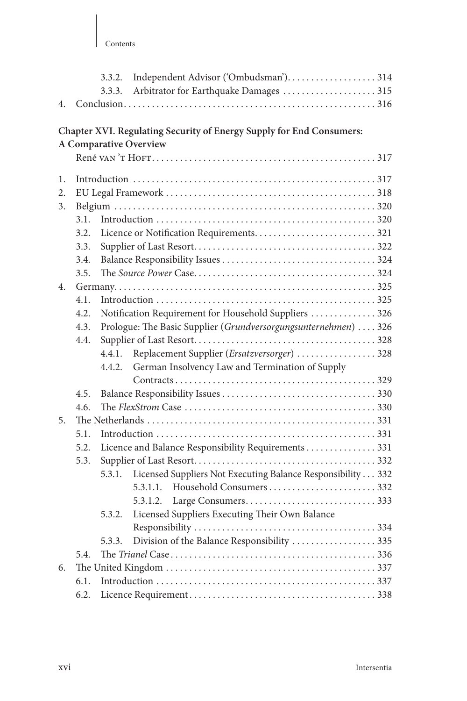## **Chapter XVI. Regulating Security of Energy Supply for End Consumers:**

## **A Comparative Overview**

| 1.               |      |        |                                                                 |  |
|------------------|------|--------|-----------------------------------------------------------------|--|
| 2.               |      |        |                                                                 |  |
| $\overline{3}$ . |      |        |                                                                 |  |
|                  | 3.1. |        |                                                                 |  |
|                  | 3.2. |        |                                                                 |  |
|                  | 3.3. |        |                                                                 |  |
|                  | 3.4. |        |                                                                 |  |
|                  | 3.5. |        |                                                                 |  |
| 4.               |      |        |                                                                 |  |
|                  | 4.1. |        |                                                                 |  |
|                  | 4.2. |        | Notification Requirement for Household Suppliers  326           |  |
|                  | 4.3. |        | Prologue: The Basic Supplier (Grundversorgungsunternehmen)  326 |  |
|                  | 4.4. |        |                                                                 |  |
|                  |      | 4.4.1. | Replacement Supplier (Ersatzversorger)  328                     |  |
|                  |      | 4.4.2. | German Insolvency Law and Termination of Supply                 |  |
|                  |      |        |                                                                 |  |
|                  | 4.5. |        |                                                                 |  |
|                  | 4.6. |        |                                                                 |  |
| 5.               |      |        |                                                                 |  |
|                  | 5.1. |        |                                                                 |  |
|                  | 5.2. |        | Licence and Balance Responsibility Requirements 331             |  |
|                  | 5.3. |        |                                                                 |  |
|                  |      | 5.3.1. | Licensed Suppliers Not Executing Balance Responsibility 332     |  |
|                  |      |        |                                                                 |  |
|                  |      |        |                                                                 |  |
|                  |      | 5.3.2. | Licensed Suppliers Executing Their Own Balance                  |  |
|                  |      |        |                                                                 |  |
|                  |      | 5.3.3. | Division of the Balance Responsibility 335                      |  |
|                  | 54   |        |                                                                 |  |
| 6.               |      |        |                                                                 |  |
|                  | 6.1. |        |                                                                 |  |
|                  | 6.2. |        |                                                                 |  |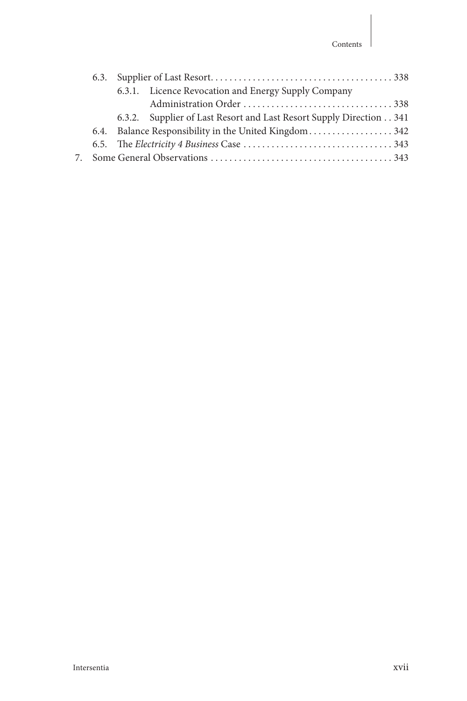|  | 6.3.1. Licence Revocation and Energy Supply Company                 |  |
|--|---------------------------------------------------------------------|--|
|  |                                                                     |  |
|  | 6.3.2. Supplier of Last Resort and Last Resort Supply Direction 341 |  |
|  |                                                                     |  |
|  |                                                                     |  |
|  |                                                                     |  |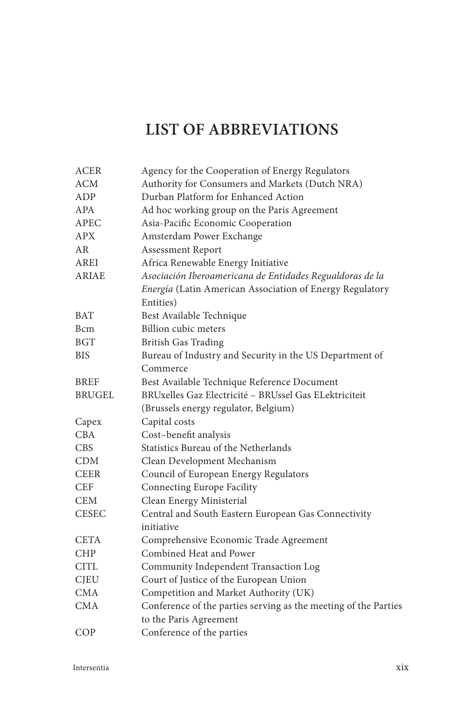## **LIST OF ABBREVIATIONS**

| <b>ACER</b>   | Agency for the Cooperation of Energy Regulators                 |
|---------------|-----------------------------------------------------------------|
| ACM           | Authority for Consumers and Markets (Dutch NRA)                 |
| ADP           | Durban Platform for Enhanced Action                             |
| APA           | Ad hoc working group on the Paris Agreement                     |
| <b>APEC</b>   | Asia-Pacific Economic Cooperation                               |
| <b>APX</b>    | Amsterdam Power Exchange                                        |
| AR            | Assessment Report                                               |
| AREI          | Africa Renewable Energy Initiative                              |
| <b>ARIAE</b>  | Asociación Iberoamericana de Entidades Regualdoras de la        |
|               | Energía (Latin American Association of Energy Regulatory        |
|               | Entities)                                                       |
| <b>BAT</b>    | Best Available Technique                                        |
| Bcm           | Billion cubic meters                                            |
| <b>BGT</b>    | <b>British Gas Trading</b>                                      |
| <b>BIS</b>    | Bureau of Industry and Security in the US Department of         |
|               | Commerce                                                        |
| <b>BREF</b>   | Best Available Technique Reference Document                     |
| <b>BRUGEL</b> | BRUxelles Gaz Electricité - BRUssel Gas ELektriciteit           |
|               | (Brussels energy regulator, Belgium)                            |
| Capex         | Capital costs                                                   |
| <b>CBA</b>    | Cost-benefit analysis                                           |
| <b>CBS</b>    | Statistics Bureau of the Netherlands                            |
| <b>CDM</b>    | Clean Development Mechanism                                     |
| <b>CEER</b>   | Council of European Energy Regulators                           |
| <b>CEF</b>    | <b>Connecting Europe Facility</b>                               |
| <b>CEM</b>    | Clean Energy Ministerial                                        |
| <b>CESEC</b>  | Central and South Eastern European Gas Connectivity             |
|               | initiative                                                      |
| <b>CETA</b>   | Comprehensive Economic Trade Agreement                          |
| <b>CHP</b>    | Combined Heat and Power                                         |
| CITL          | Community Independent Transaction Log                           |
| <b>CJEU</b>   | Court of Justice of the European Union                          |
| CMA           | Competition and Market Authority (UK)                           |
| <b>CMA</b>    | Conference of the parties serving as the meeting of the Parties |
|               | to the Paris Agreement                                          |
| COP           | Conference of the parties                                       |
|               |                                                                 |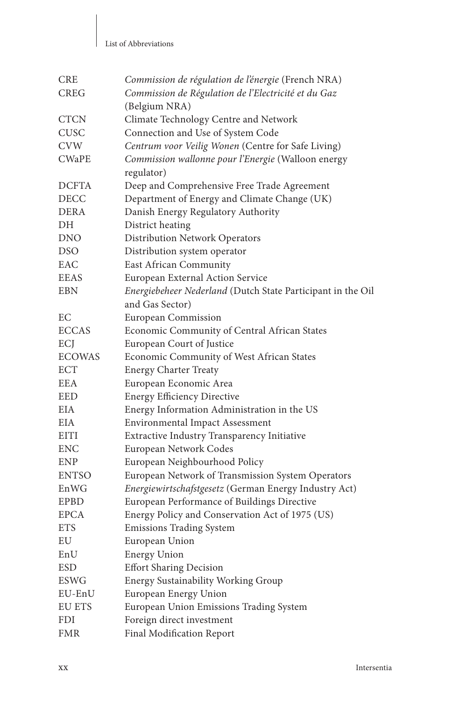#### List of Abbreviations

| <b>CRE</b>    | Commission de régulation de l'énergie (French NRA)          |
|---------------|-------------------------------------------------------------|
| <b>CREG</b>   | Commission de Régulation de l'Electricité et du Gaz         |
|               | (Belgium NRA)                                               |
| <b>CTCN</b>   | Climate Technology Centre and Network                       |
| <b>CUSC</b>   | Connection and Use of System Code                           |
| <b>CVW</b>    | Centrum voor Veilig Wonen (Centre for Safe Living)          |
| <b>CWaPE</b>  | Commission wallonne pour l'Energie (Walloon energy          |
|               | regulator)                                                  |
| <b>DCFTA</b>  | Deep and Comprehensive Free Trade Agreement                 |
| <b>DECC</b>   | Department of Energy and Climate Change (UK)                |
| <b>DERA</b>   | Danish Energy Regulatory Authority                          |
| DН            | District heating                                            |
| <b>DNO</b>    | <b>Distribution Network Operators</b>                       |
| <b>DSO</b>    | Distribution system operator                                |
| EAC           | East African Community                                      |
| EEAS          | European External Action Service                            |
| <b>EBN</b>    | Energiebeheer Nederland (Dutch State Participant in the Oil |
|               | and Gas Sector)                                             |
| EС            | European Commission                                         |
| <b>ECCAS</b>  | Economic Community of Central African States                |
| ECJ           | European Court of Justice                                   |
| <b>ECOWAS</b> | Economic Community of West African States                   |
| <b>ECT</b>    | <b>Energy Charter Treaty</b>                                |
| <b>EEA</b>    | European Economic Area                                      |
| EED           | <b>Energy Efficiency Directive</b>                          |
| <b>EIA</b>    | Energy Information Administration in the US                 |
| <b>EIA</b>    | <b>Environmental Impact Assessment</b>                      |
| <b>EITI</b>   | Extractive Industry Transparency Initiative                 |
| ENC           | European Network Codes                                      |
| ENP           | European Neighbourhood Policy                               |
| <b>ENTSO</b>  | European Network of Transmission System Operators           |
| EnWG          | Energiewirtschafstgesetz (German Energy Industry Act)       |
| EPBD          | European Performance of Buildings Directive                 |
| <b>EPCA</b>   | Energy Policy and Conservation Act of 1975 (US)             |
| <b>ETS</b>    | <b>Emissions Trading System</b>                             |
| EU            | European Union                                              |
| EnU           | <b>Energy Union</b>                                         |
| <b>ESD</b>    | <b>Effort Sharing Decision</b>                              |
| ESWG          | <b>Energy Sustainability Working Group</b>                  |
| EU-EnU        | European Energy Union                                       |
| EU ETS        | European Union Emissions Trading System                     |
| FDI           | Foreign direct investment                                   |
| FMR           | Final Modification Report                                   |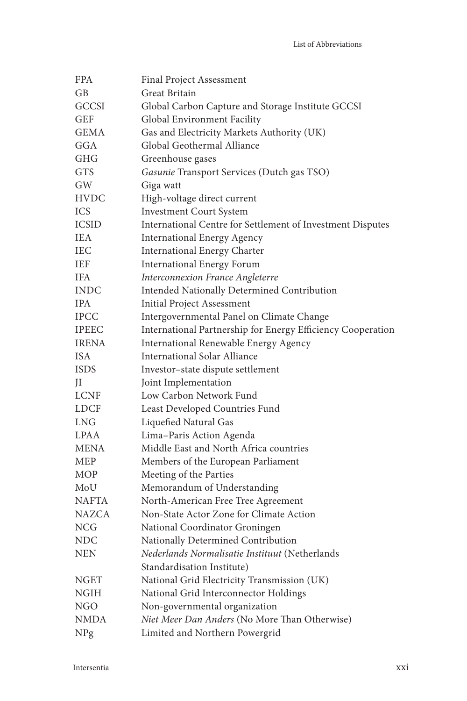| FPA          | Final Project Assessment                                    |
|--------------|-------------------------------------------------------------|
| GВ           | Great Britain                                               |
| GCCSI        | Global Carbon Capture and Storage Institute GCCSI           |
| GEF          | Global Environment Facility                                 |
| <b>GEMA</b>  | Gas and Electricity Markets Authority (UK)                  |
| GGA          | Global Geothermal Alliance                                  |
| GHG          | Greenhouse gases                                            |
| <b>GTS</b>   | Gasunie Transport Services (Dutch gas TSO)                  |
| GW           | Giga watt                                                   |
| <b>HVDC</b>  | High-voltage direct current                                 |
| <b>ICS</b>   | <b>Investment Court System</b>                              |
| <b>ICSID</b> | International Centre for Settlement of Investment Disputes  |
| <b>IEA</b>   | <b>International Energy Agency</b>                          |
| <b>IEC</b>   | International Energy Charter                                |
| <b>IEF</b>   | <b>International Energy Forum</b>                           |
| <b>IFA</b>   | Interconnexion France Angleterre                            |
| <b>INDC</b>  | Intended Nationally Determined Contribution                 |
| <b>IPA</b>   | Initial Project Assessment                                  |
| <b>IPCC</b>  | Intergovernmental Panel on Climate Change                   |
| <b>IPEEC</b> | International Partnership for Energy Efficiency Cooperation |
| <b>IRENA</b> | International Renewable Energy Agency                       |
| <b>ISA</b>   | <b>International Solar Alliance</b>                         |
| <b>ISDS</b>  | Investor-state dispute settlement                           |
| JI           | Joint Implementation                                        |
| <b>LCNF</b>  | Low Carbon Network Fund                                     |
| <b>LDCF</b>  | Least Developed Countries Fund                              |
| LNG          | Liquefied Natural Gas                                       |
| LPAA         | Lima-Paris Action Agenda                                    |
| MENA         | Middle East and North Africa countries                      |
| MEP          | Members of the European Parliament                          |
| <b>MOP</b>   | Meeting of the Parties                                      |
| MoU          | Memorandum of Understanding                                 |
| NAFTA        | North-American Free Tree Agreement                          |
| NAZCA        | Non-State Actor Zone for Climate Action                     |
| <b>NCG</b>   | National Coordinator Groningen                              |
| <b>NDC</b>   | Nationally Determined Contribution                          |
| <b>NEN</b>   | Nederlands Normalisatie Instituut (Netherlands              |
|              | Standardisation Institute)                                  |
| <b>NGET</b>  | National Grid Electricity Transmission (UK)                 |
| NGIH         | National Grid Interconnector Holdings                       |
| NGO          | Non-governmental organization                               |
| NMDA         | Niet Meer Dan Anders (No More Than Otherwise)               |
| NPg          | Limited and Northern Powergrid                              |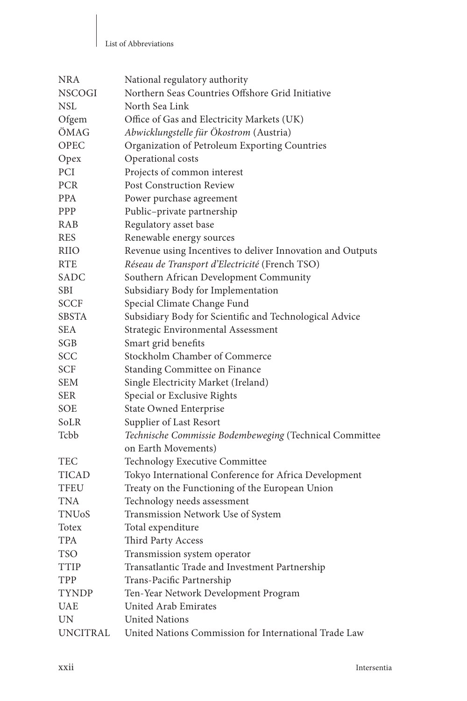#### List of Abbreviations

| <b>NRA</b>      | National regulatory authority                              |
|-----------------|------------------------------------------------------------|
| <b>NSCOGI</b>   | Northern Seas Countries Offshore Grid Initiative           |
| NSL             | North Sea Link                                             |
| Ofgem           | Office of Gas and Electricity Markets (UK)                 |
| ÖMAG            | Abwicklungstelle für Ökostrom (Austria)                    |
| <b>OPEC</b>     | Organization of Petroleum Exporting Countries              |
| Opex            | Operational costs                                          |
| PCI             | Projects of common interest                                |
| <b>PCR</b>      | <b>Post Construction Review</b>                            |
| <b>PPA</b>      | Power purchase agreement                                   |
| PPP             | Public-private partnership                                 |
| RAB             | Regulatory asset base                                      |
| <b>RES</b>      | Renewable energy sources                                   |
| <b>RIIO</b>     | Revenue using Incentives to deliver Innovation and Outputs |
| <b>RTE</b>      | Réseau de Transport d'Electricité (French TSO)             |
| SADC            | Southern African Development Community                     |
| <b>SBI</b>      | Subsidiary Body for Implementation                         |
| <b>SCCF</b>     | Special Climate Change Fund                                |
| SBSTA           | Subsidiary Body for Scientific and Technological Advice    |
| <b>SEA</b>      | Strategic Environmental Assessment                         |
| SGB             | Smart grid benefits                                        |
| SCC             | Stockholm Chamber of Commerce                              |
| <b>SCF</b>      | Standing Committee on Finance                              |
| <b>SEM</b>      | Single Electricity Market (Ireland)                        |
| <b>SER</b>      | Special or Exclusive Rights                                |
| <b>SOE</b>      | <b>State Owned Enterprise</b>                              |
| Solr            | Supplier of Last Resort                                    |
| Tcbb            | Technische Commissie Bodembeweging (Technical Committee    |
|                 | on Earth Movements)                                        |
| TEC             | Technology Executive Committee                             |
| <b>TICAD</b>    | Tokyo International Conference for Africa Development      |
| TFEU            | Treaty on the Functioning of the European Union            |
| <b>TNA</b>      | Technology needs assessment                                |
| <b>TNUoS</b>    | Transmission Network Use of System                         |
| Totex           | Total expenditure                                          |
| TPA             | Third Party Access                                         |
| <b>TSO</b>      | Transmission system operator                               |
| TTIP            | Transatlantic Trade and Investment Partnership             |
| TPP             | Trans-Pacific Partnership                                  |
| <b>TYNDP</b>    | Ten-Year Network Development Program                       |
| <b>UAE</b>      | United Arab Emirates                                       |
| <b>UN</b>       | <b>United Nations</b>                                      |
| <b>UNCITRAL</b> | United Nations Commission for International Trade Law      |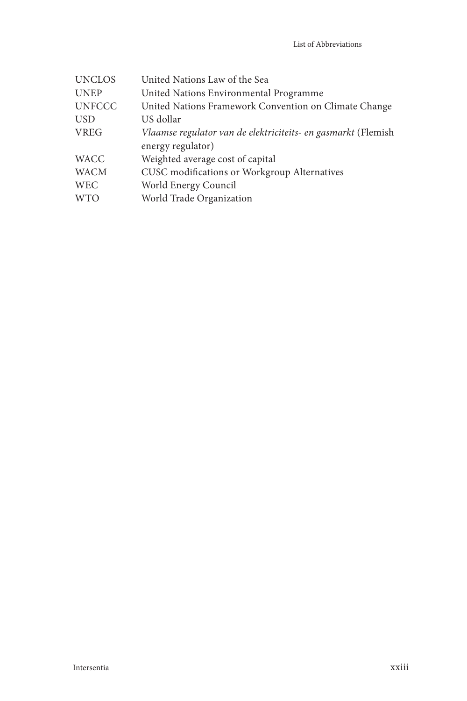| <b>UNCLOS</b> | United Nations Law of the Sea                                 |
|---------------|---------------------------------------------------------------|
| <b>UNEP</b>   | United Nations Environmental Programme                        |
| <b>UNFCCC</b> | United Nations Framework Convention on Climate Change         |
| <b>USD</b>    | US dollar                                                     |
| <b>VREG</b>   | Vlaamse regulator van de elektriciteits- en gasmarkt (Flemish |
|               | energy regulator)                                             |
| <b>WACC</b>   | Weighted average cost of capital                              |
| <b>WACM</b>   | CUSC modifications or Workgroup Alternatives                  |
| <b>WEC</b>    | World Energy Council                                          |
| <b>WTO</b>    | World Trade Organization                                      |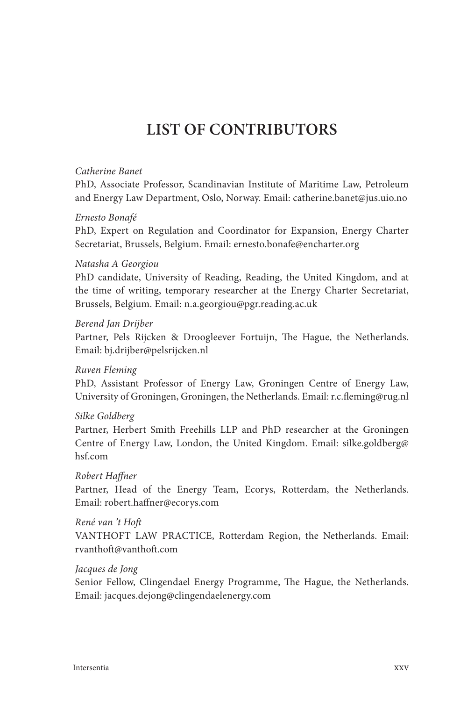## **LIST OF CONTRIBUTORS**

#### *Catherine Banet*

 PhD, Associate Professor, Scandinavian Institute of Maritime Law, Petroleum and Energy Law Department, Oslo, Norway. Email: catherine.banet@jus.uio.no

#### Ernesto Bonafé

 PhD, Expert on Regulation and Coordinator for Expansion, Energy Charter Secretariat, Brussels, Belgium. Email: ernesto.bonafe@encharter.org

#### *Natasha A Georgiou*

 PhD candidate, University of Reading, Reading, the United Kingdom, and at the time of writing, temporary researcher at the Energy Charter Secretariat, Brussels, Belgium. Email: n.a.georgiou@pgr.reading.ac.uk

#### *Berend Jan Drijber*

Partner, Pels Rijcken & Droogleever Fortuijn, The Hague, the Netherlands. Email: bj.drijber@pelsrijcken.nl

#### *Ruven Fleming*

 PhD, Assistant Professor of Energy Law, Groningen Centre of Energy Law, University of Groningen, Groningen, the Netherlands. Email: r.c.fleming@rug.nl

#### *Silke Goldberg*

 Partner, Herbert Smith Freehills LLP and PhD researcher at the Groningen Centre of Energy Law, London, the United Kingdom. Email: silke.goldberg@ hsf.com

#### *Robert Haffner*

 Partner, Head of the Energy Team, Ecorys, Rotterdam, the Netherlands. Email: robert.haffner@ecorys.com

#### René van 't Hoft

 VANTHOFT LAW PRACTICE, Rotterdam Region, the Netherlands. Email: rvanthoft @vanthoft .com

#### *Jacques de Jong*

Senior Fellow, Clingendael Energy Programme, The Hague, the Netherlands. Email: jacques.dejong@clingendaelenergy.com